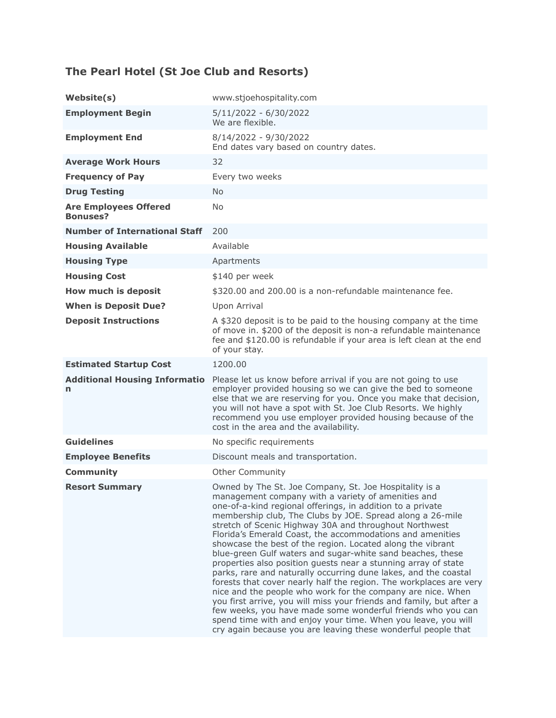# **The Pearl Hotel (St Joe Club and Resorts)**

| Website(s)                                      | www.stjoehospitality.com                                                                                                                                                                                                                                                                                                                                                                                                                                                                                                                                                                                                                                                                                                                                                                                                                                                                                                                                                                                                                      |
|-------------------------------------------------|-----------------------------------------------------------------------------------------------------------------------------------------------------------------------------------------------------------------------------------------------------------------------------------------------------------------------------------------------------------------------------------------------------------------------------------------------------------------------------------------------------------------------------------------------------------------------------------------------------------------------------------------------------------------------------------------------------------------------------------------------------------------------------------------------------------------------------------------------------------------------------------------------------------------------------------------------------------------------------------------------------------------------------------------------|
| <b>Employment Begin</b>                         | 5/11/2022 - 6/30/2022<br>We are flexible.                                                                                                                                                                                                                                                                                                                                                                                                                                                                                                                                                                                                                                                                                                                                                                                                                                                                                                                                                                                                     |
| <b>Employment End</b>                           | 8/14/2022 - 9/30/2022<br>End dates vary based on country dates.                                                                                                                                                                                                                                                                                                                                                                                                                                                                                                                                                                                                                                                                                                                                                                                                                                                                                                                                                                               |
| <b>Average Work Hours</b>                       | 32                                                                                                                                                                                                                                                                                                                                                                                                                                                                                                                                                                                                                                                                                                                                                                                                                                                                                                                                                                                                                                            |
| <b>Frequency of Pay</b>                         | Every two weeks                                                                                                                                                                                                                                                                                                                                                                                                                                                                                                                                                                                                                                                                                                                                                                                                                                                                                                                                                                                                                               |
| <b>Drug Testing</b>                             | <b>No</b>                                                                                                                                                                                                                                                                                                                                                                                                                                                                                                                                                                                                                                                                                                                                                                                                                                                                                                                                                                                                                                     |
| <b>Are Employees Offered</b><br><b>Bonuses?</b> | No.                                                                                                                                                                                                                                                                                                                                                                                                                                                                                                                                                                                                                                                                                                                                                                                                                                                                                                                                                                                                                                           |
| <b>Number of International Staff</b>            | 200                                                                                                                                                                                                                                                                                                                                                                                                                                                                                                                                                                                                                                                                                                                                                                                                                                                                                                                                                                                                                                           |
| <b>Housing Available</b>                        | Available                                                                                                                                                                                                                                                                                                                                                                                                                                                                                                                                                                                                                                                                                                                                                                                                                                                                                                                                                                                                                                     |
| <b>Housing Type</b>                             | Apartments                                                                                                                                                                                                                                                                                                                                                                                                                                                                                                                                                                                                                                                                                                                                                                                                                                                                                                                                                                                                                                    |
| <b>Housing Cost</b>                             | \$140 per week                                                                                                                                                                                                                                                                                                                                                                                                                                                                                                                                                                                                                                                                                                                                                                                                                                                                                                                                                                                                                                |
| How much is deposit                             | \$320.00 and 200.00 is a non-refundable maintenance fee.                                                                                                                                                                                                                                                                                                                                                                                                                                                                                                                                                                                                                                                                                                                                                                                                                                                                                                                                                                                      |
| <b>When is Deposit Due?</b>                     | Upon Arrival                                                                                                                                                                                                                                                                                                                                                                                                                                                                                                                                                                                                                                                                                                                                                                                                                                                                                                                                                                                                                                  |
| <b>Deposit Instructions</b>                     | A \$320 deposit is to be paid to the housing company at the time<br>of move in. \$200 of the deposit is non-a refundable maintenance<br>fee and \$120.00 is refundable if your area is left clean at the end<br>of your stay.                                                                                                                                                                                                                                                                                                                                                                                                                                                                                                                                                                                                                                                                                                                                                                                                                 |
| <b>Estimated Startup Cost</b>                   | 1200.00                                                                                                                                                                                                                                                                                                                                                                                                                                                                                                                                                                                                                                                                                                                                                                                                                                                                                                                                                                                                                                       |
| <b>Additional Housing Informatio</b><br>n       | Please let us know before arrival if you are not going to use<br>employer provided housing so we can give the bed to someone<br>else that we are reserving for you. Once you make that decision,<br>you will not have a spot with St. Joe Club Resorts. We highly<br>recommend you use employer provided housing because of the<br>cost in the area and the availability.                                                                                                                                                                                                                                                                                                                                                                                                                                                                                                                                                                                                                                                                     |
| <b>Guidelines</b>                               | No specific requirements                                                                                                                                                                                                                                                                                                                                                                                                                                                                                                                                                                                                                                                                                                                                                                                                                                                                                                                                                                                                                      |
| <b>Employee Benefits</b>                        | Discount meals and transportation.                                                                                                                                                                                                                                                                                                                                                                                                                                                                                                                                                                                                                                                                                                                                                                                                                                                                                                                                                                                                            |
| <b>Community</b>                                | <b>Other Community</b>                                                                                                                                                                                                                                                                                                                                                                                                                                                                                                                                                                                                                                                                                                                                                                                                                                                                                                                                                                                                                        |
| <b>Resort Summary</b>                           | Owned by The St. Joe Company, St. Joe Hospitality is a<br>management company with a variety of amenities and<br>one-of-a-kind regional offerings, in addition to a private<br>membership club, The Clubs by JOE. Spread along a 26-mile<br>stretch of Scenic Highway 30A and throughout Northwest<br>Florida's Emerald Coast, the accommodations and amenities<br>showcase the best of the region. Located along the vibrant<br>blue-green Gulf waters and sugar-white sand beaches, these<br>properties also position guests near a stunning array of state<br>parks, rare and naturally occurring dune lakes, and the coastal<br>forests that cover nearly half the region. The workplaces are very<br>nice and the people who work for the company are nice. When<br>you first arrive, you will miss your friends and family, but after a<br>few weeks, you have made some wonderful friends who you can<br>spend time with and enjoy your time. When you leave, you will<br>cry again because you are leaving these wonderful people that |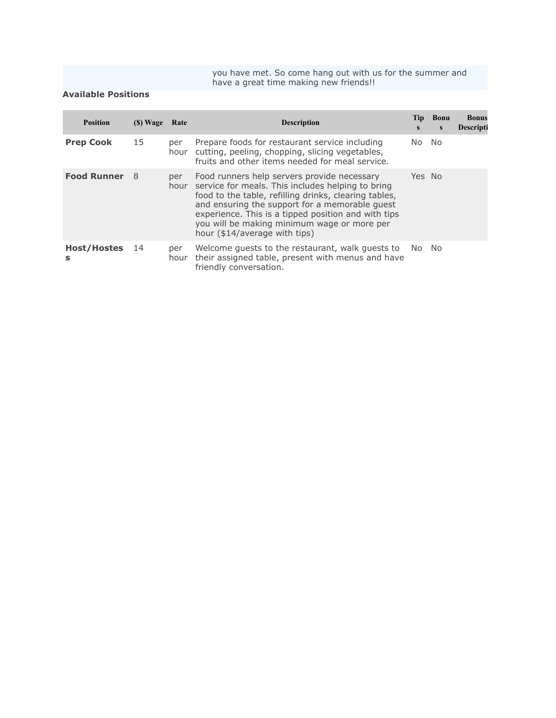you have met. So come hang out with us for the summer and have a great time making new friends!!

### **Available Positions**

| <b>Position</b>         | (S) Wave | Rate        | <b>Description</b>                                                                                                                                                                                                                                                                                                                                 | Tip<br>S | <b>Bonu</b><br>S | <b>Bonus</b><br>Descripti |
|-------------------------|----------|-------------|----------------------------------------------------------------------------------------------------------------------------------------------------------------------------------------------------------------------------------------------------------------------------------------------------------------------------------------------------|----------|------------------|---------------------------|
| <b>Prep Cook</b>        | 15       | per<br>hour | Prepare foods for restaurant service including<br>cutting, peeling, chopping, slicing vegetables,<br>fruits and other items needed for meal service.                                                                                                                                                                                               | No.      | - No             |                           |
| <b>Food Runner</b>      | - 8      | per<br>hour | Food runners help servers provide necessary<br>service for meals. This includes helping to bring<br>food to the table, refilling drinks, clearing tables,<br>and ensuring the support for a memorable quest<br>experience. This is a tipped position and with tips<br>you will be making minimum wage or more per<br>hour (\$14/average with tips) | Yes No   |                  |                           |
| <b>Host/Hostes</b><br>s | 14       | per<br>hour | Welcome quests to the restaurant, walk quests to<br>their assigned table, present with menus and have<br>friendly conversation.                                                                                                                                                                                                                    | No.      | No.              |                           |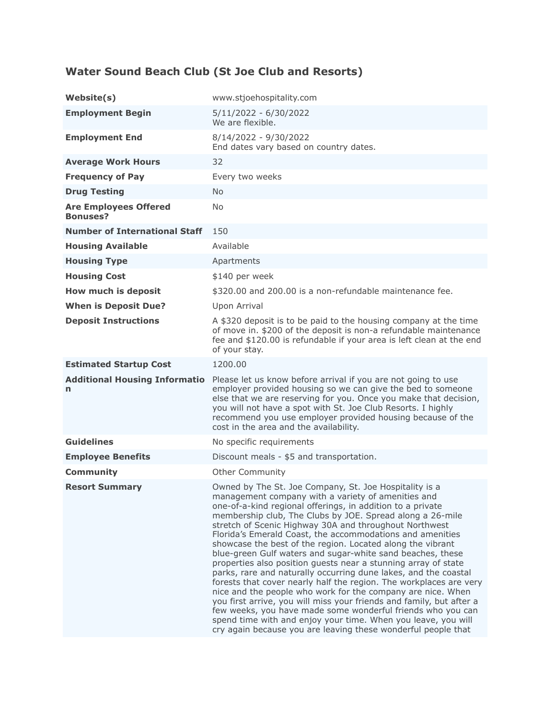### **Water Sound Beach Club (St Joe Club and Resorts)**

| Website(s)                                      | www.stjoehospitality.com                                                                                                                                                                                                                                                                                                                                                                                                                                                                                                                                                                                                                                                                                                                                                                                                                                                                                                                                                                                                                      |
|-------------------------------------------------|-----------------------------------------------------------------------------------------------------------------------------------------------------------------------------------------------------------------------------------------------------------------------------------------------------------------------------------------------------------------------------------------------------------------------------------------------------------------------------------------------------------------------------------------------------------------------------------------------------------------------------------------------------------------------------------------------------------------------------------------------------------------------------------------------------------------------------------------------------------------------------------------------------------------------------------------------------------------------------------------------------------------------------------------------|
| <b>Employment Begin</b>                         | $5/11/2022 - 6/30/2022$<br>We are flexible.                                                                                                                                                                                                                                                                                                                                                                                                                                                                                                                                                                                                                                                                                                                                                                                                                                                                                                                                                                                                   |
| <b>Employment End</b>                           | 8/14/2022 - 9/30/2022<br>End dates vary based on country dates.                                                                                                                                                                                                                                                                                                                                                                                                                                                                                                                                                                                                                                                                                                                                                                                                                                                                                                                                                                               |
| <b>Average Work Hours</b>                       | 32                                                                                                                                                                                                                                                                                                                                                                                                                                                                                                                                                                                                                                                                                                                                                                                                                                                                                                                                                                                                                                            |
| <b>Frequency of Pay</b>                         | Every two weeks                                                                                                                                                                                                                                                                                                                                                                                                                                                                                                                                                                                                                                                                                                                                                                                                                                                                                                                                                                                                                               |
| <b>Drug Testing</b>                             | <b>No</b>                                                                                                                                                                                                                                                                                                                                                                                                                                                                                                                                                                                                                                                                                                                                                                                                                                                                                                                                                                                                                                     |
| <b>Are Employees Offered</b><br><b>Bonuses?</b> | <b>No</b>                                                                                                                                                                                                                                                                                                                                                                                                                                                                                                                                                                                                                                                                                                                                                                                                                                                                                                                                                                                                                                     |
| <b>Number of International Staff</b>            | 150                                                                                                                                                                                                                                                                                                                                                                                                                                                                                                                                                                                                                                                                                                                                                                                                                                                                                                                                                                                                                                           |
| <b>Housing Available</b>                        | Available                                                                                                                                                                                                                                                                                                                                                                                                                                                                                                                                                                                                                                                                                                                                                                                                                                                                                                                                                                                                                                     |
| <b>Housing Type</b>                             | Apartments                                                                                                                                                                                                                                                                                                                                                                                                                                                                                                                                                                                                                                                                                                                                                                                                                                                                                                                                                                                                                                    |
| <b>Housing Cost</b>                             | \$140 per week                                                                                                                                                                                                                                                                                                                                                                                                                                                                                                                                                                                                                                                                                                                                                                                                                                                                                                                                                                                                                                |
| How much is deposit                             | \$320.00 and 200.00 is a non-refundable maintenance fee.                                                                                                                                                                                                                                                                                                                                                                                                                                                                                                                                                                                                                                                                                                                                                                                                                                                                                                                                                                                      |
| <b>When is Deposit Due?</b>                     | Upon Arrival                                                                                                                                                                                                                                                                                                                                                                                                                                                                                                                                                                                                                                                                                                                                                                                                                                                                                                                                                                                                                                  |
| <b>Deposit Instructions</b>                     | A \$320 deposit is to be paid to the housing company at the time<br>of move in. \$200 of the deposit is non-a refundable maintenance<br>fee and \$120.00 is refundable if your area is left clean at the end<br>of your stay.                                                                                                                                                                                                                                                                                                                                                                                                                                                                                                                                                                                                                                                                                                                                                                                                                 |
| <b>Estimated Startup Cost</b>                   | 1200.00                                                                                                                                                                                                                                                                                                                                                                                                                                                                                                                                                                                                                                                                                                                                                                                                                                                                                                                                                                                                                                       |
| <b>Additional Housing Informatio</b><br>n       | Please let us know before arrival if you are not going to use<br>employer provided housing so we can give the bed to someone<br>else that we are reserving for you. Once you make that decision,<br>you will not have a spot with St. Joe Club Resorts. I highly<br>recommend you use employer provided housing because of the<br>cost in the area and the availability.                                                                                                                                                                                                                                                                                                                                                                                                                                                                                                                                                                                                                                                                      |
| <b>Guidelines</b>                               | No specific requirements                                                                                                                                                                                                                                                                                                                                                                                                                                                                                                                                                                                                                                                                                                                                                                                                                                                                                                                                                                                                                      |
| <b>Employee Benefits</b>                        | Discount meals - \$5 and transportation.                                                                                                                                                                                                                                                                                                                                                                                                                                                                                                                                                                                                                                                                                                                                                                                                                                                                                                                                                                                                      |
| <b>Community</b>                                | <b>Other Community</b>                                                                                                                                                                                                                                                                                                                                                                                                                                                                                                                                                                                                                                                                                                                                                                                                                                                                                                                                                                                                                        |
| <b>Resort Summary</b>                           | Owned by The St. Joe Company, St. Joe Hospitality is a<br>management company with a variety of amenities and<br>one-of-a-kind regional offerings, in addition to a private<br>membership club, The Clubs by JOE. Spread along a 26-mile<br>stretch of Scenic Highway 30A and throughout Northwest<br>Florida's Emerald Coast, the accommodations and amenities<br>showcase the best of the region. Located along the vibrant<br>blue-green Gulf waters and sugar-white sand beaches, these<br>properties also position guests near a stunning array of state<br>parks, rare and naturally occurring dune lakes, and the coastal<br>forests that cover nearly half the region. The workplaces are very<br>nice and the people who work for the company are nice. When<br>you first arrive, you will miss your friends and family, but after a<br>few weeks, you have made some wonderful friends who you can<br>spend time with and enjoy your time. When you leave, you will<br>cry again because you are leaving these wonderful people that |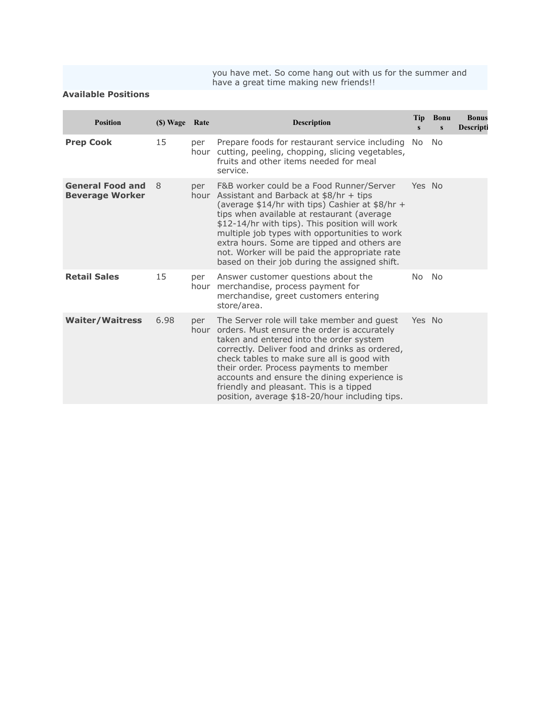you have met. So come hang out with us for the summer and have a great time making new friends!!

### **Available Positions**

| <b>Position</b>                                   | (\$) Wage Rate |             | <b>Description</b>                                                                                                                                                                                                                                                                                                                                                                                                                           | <b>Tip</b><br>$\mathbf{s}$ | <b>Bonu</b><br>$\mathbf{s}$ | <b>Bonus</b><br>Descripti |
|---------------------------------------------------|----------------|-------------|----------------------------------------------------------------------------------------------------------------------------------------------------------------------------------------------------------------------------------------------------------------------------------------------------------------------------------------------------------------------------------------------------------------------------------------------|----------------------------|-----------------------------|---------------------------|
| <b>Prep Cook</b>                                  | 15             | per<br>hour | Prepare foods for restaurant service including<br>cutting, peeling, chopping, slicing vegetables,<br>fruits and other items needed for meal<br>service.                                                                                                                                                                                                                                                                                      | No.                        | No.                         |                           |
| <b>General Food and</b><br><b>Beverage Worker</b> | 8              | per         | F&B worker could be a Food Runner/Server<br>hour Assistant and Barback at \$8/hr + tips<br>(average \$14/hr with tips) Cashier at \$8/hr +<br>tips when available at restaurant (average<br>\$12-14/hr with tips). This position will work<br>multiple job types with opportunities to work<br>extra hours. Some are tipped and others are<br>not. Worker will be paid the appropriate rate<br>based on their job during the assigned shift. | Yes No                     |                             |                           |
| <b>Retail Sales</b>                               | 15             | per<br>hour | Answer customer questions about the<br>merchandise, process payment for<br>merchandise, greet customers entering<br>store/area.                                                                                                                                                                                                                                                                                                              | No.                        | No                          |                           |
| <b>Waiter/Waitress</b>                            | 6.98           | per         | The Server role will take member and guest<br>hour orders. Must ensure the order is accurately<br>taken and entered into the order system<br>correctly. Deliver food and drinks as ordered,<br>check tables to make sure all is good with<br>their order. Process payments to member<br>accounts and ensure the dining experience is<br>friendly and pleasant. This is a tipped<br>position, average \$18-20/hour including tips.            | Yes No                     |                             |                           |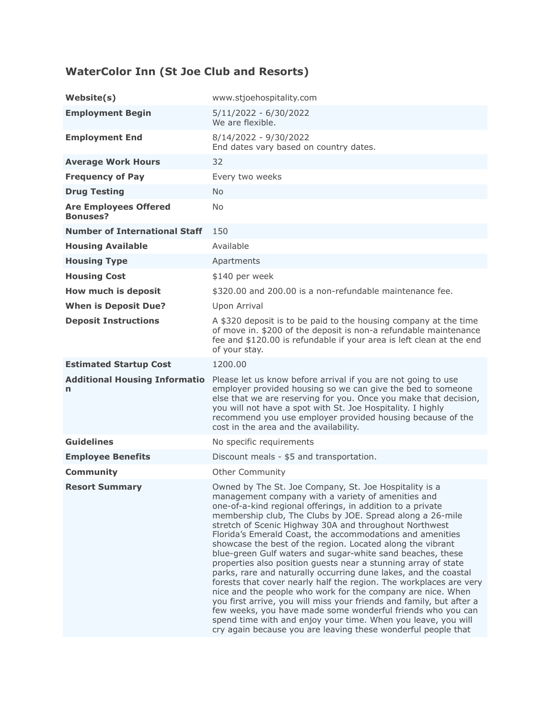# **WaterColor Inn (St Joe Club and Resorts)**

| Website(s)                                      | www.stjoehospitality.com                                                                                                                                                                                                                                                                                                                                                                                                                                                                                                                                                                                                                                                                                                                                                                                                                                                                                                                                                                                                                      |
|-------------------------------------------------|-----------------------------------------------------------------------------------------------------------------------------------------------------------------------------------------------------------------------------------------------------------------------------------------------------------------------------------------------------------------------------------------------------------------------------------------------------------------------------------------------------------------------------------------------------------------------------------------------------------------------------------------------------------------------------------------------------------------------------------------------------------------------------------------------------------------------------------------------------------------------------------------------------------------------------------------------------------------------------------------------------------------------------------------------|
| <b>Employment Begin</b>                         | $5/11/2022 - 6/30/2022$<br>We are flexible.                                                                                                                                                                                                                                                                                                                                                                                                                                                                                                                                                                                                                                                                                                                                                                                                                                                                                                                                                                                                   |
| <b>Employment End</b>                           | 8/14/2022 - 9/30/2022<br>End dates vary based on country dates.                                                                                                                                                                                                                                                                                                                                                                                                                                                                                                                                                                                                                                                                                                                                                                                                                                                                                                                                                                               |
| <b>Average Work Hours</b>                       | 32                                                                                                                                                                                                                                                                                                                                                                                                                                                                                                                                                                                                                                                                                                                                                                                                                                                                                                                                                                                                                                            |
| <b>Frequency of Pay</b>                         | Every two weeks                                                                                                                                                                                                                                                                                                                                                                                                                                                                                                                                                                                                                                                                                                                                                                                                                                                                                                                                                                                                                               |
| <b>Drug Testing</b>                             | <b>No</b>                                                                                                                                                                                                                                                                                                                                                                                                                                                                                                                                                                                                                                                                                                                                                                                                                                                                                                                                                                                                                                     |
| <b>Are Employees Offered</b><br><b>Bonuses?</b> | <b>No</b>                                                                                                                                                                                                                                                                                                                                                                                                                                                                                                                                                                                                                                                                                                                                                                                                                                                                                                                                                                                                                                     |
| <b>Number of International Staff</b>            | 150                                                                                                                                                                                                                                                                                                                                                                                                                                                                                                                                                                                                                                                                                                                                                                                                                                                                                                                                                                                                                                           |
| <b>Housing Available</b>                        | Available                                                                                                                                                                                                                                                                                                                                                                                                                                                                                                                                                                                                                                                                                                                                                                                                                                                                                                                                                                                                                                     |
| <b>Housing Type</b>                             | Apartments                                                                                                                                                                                                                                                                                                                                                                                                                                                                                                                                                                                                                                                                                                                                                                                                                                                                                                                                                                                                                                    |
| <b>Housing Cost</b>                             | \$140 per week                                                                                                                                                                                                                                                                                                                                                                                                                                                                                                                                                                                                                                                                                                                                                                                                                                                                                                                                                                                                                                |
| How much is deposit                             | \$320.00 and 200.00 is a non-refundable maintenance fee.                                                                                                                                                                                                                                                                                                                                                                                                                                                                                                                                                                                                                                                                                                                                                                                                                                                                                                                                                                                      |
| <b>When is Deposit Due?</b>                     | Upon Arrival                                                                                                                                                                                                                                                                                                                                                                                                                                                                                                                                                                                                                                                                                                                                                                                                                                                                                                                                                                                                                                  |
| <b>Deposit Instructions</b>                     | A \$320 deposit is to be paid to the housing company at the time<br>of move in. \$200 of the deposit is non-a refundable maintenance<br>fee and \$120.00 is refundable if your area is left clean at the end<br>of your stay.                                                                                                                                                                                                                                                                                                                                                                                                                                                                                                                                                                                                                                                                                                                                                                                                                 |
| <b>Estimated Startup Cost</b>                   | 1200.00                                                                                                                                                                                                                                                                                                                                                                                                                                                                                                                                                                                                                                                                                                                                                                                                                                                                                                                                                                                                                                       |
| <b>Additional Housing Informatio</b><br>n       | Please let us know before arrival if you are not going to use<br>employer provided housing so we can give the bed to someone<br>else that we are reserving for you. Once you make that decision,<br>you will not have a spot with St. Joe Hospitality. I highly<br>recommend you use employer provided housing because of the<br>cost in the area and the availability.                                                                                                                                                                                                                                                                                                                                                                                                                                                                                                                                                                                                                                                                       |
| <b>Guidelines</b>                               | No specific requirements                                                                                                                                                                                                                                                                                                                                                                                                                                                                                                                                                                                                                                                                                                                                                                                                                                                                                                                                                                                                                      |
| <b>Employee Benefits</b>                        | Discount meals - \$5 and transportation.                                                                                                                                                                                                                                                                                                                                                                                                                                                                                                                                                                                                                                                                                                                                                                                                                                                                                                                                                                                                      |
| <b>Community</b>                                | <b>Other Community</b>                                                                                                                                                                                                                                                                                                                                                                                                                                                                                                                                                                                                                                                                                                                                                                                                                                                                                                                                                                                                                        |
| <b>Resort Summary</b>                           | Owned by The St. Joe Company, St. Joe Hospitality is a<br>management company with a variety of amenities and<br>one-of-a-kind regional offerings, in addition to a private<br>membership club, The Clubs by JOE. Spread along a 26-mile<br>stretch of Scenic Highway 30A and throughout Northwest<br>Florida's Emerald Coast, the accommodations and amenities<br>showcase the best of the region. Located along the vibrant<br>blue-green Gulf waters and sugar-white sand beaches, these<br>properties also position guests near a stunning array of state<br>parks, rare and naturally occurring dune lakes, and the coastal<br>forests that cover nearly half the region. The workplaces are very<br>nice and the people who work for the company are nice. When<br>you first arrive, you will miss your friends and family, but after a<br>few weeks, you have made some wonderful friends who you can<br>spend time with and enjoy your time. When you leave, you will<br>cry again because you are leaving these wonderful people that |